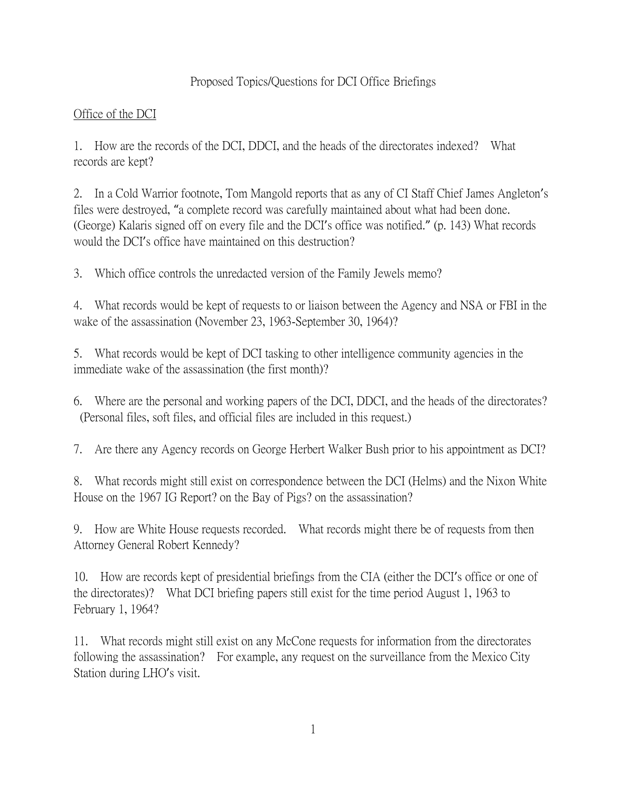# Proposed Topics/Questions for DCI Office Briefings

## Office of the DCI

1. How are the records of the DCI, DDCI, and the heads of the directorates indexed? What records are kept?

2. In a Cold Warrior footnote, Tom Mangold reports that as any of CI Staff Chief James Angleton's files were destroyed, "a complete record was carefully maintained about what had been done. (George) Kalaris signed off on every file and the DCI's office was notified." (p. 143) What records would the DCI's office have maintained on this destruction?

3. Which office controls the unredacted version of the Family Jewels memo?

4. What records would be kept of requests to or liaison between the Agency and NSA or FBI in the wake of the assassination (November 23, 1963-September 30, 1964)?

5. What records would be kept of DCI tasking to other intelligence community agencies in the immediate wake of the assassination (the first month)?

6. Where are the personal and working papers of the DCI, DDCI, and the heads of the directorates? (Personal files, soft files, and official files are included in this request.)

7. Are there any Agency records on George Herbert Walker Bush prior to his appointment as DCI?

8. What records might still exist on correspondence between the DCI (Helms) and the Nixon White House on the 1967 IG Report? on the Bay of Pigs? on the assassination?

9. How are White House requests recorded. What records might there be of requests from then Attorney General Robert Kennedy?

10. How are records kept of presidential briefings from the CIA (either the DCI's office or one of the directorates)? What DCI briefing papers still exist for the time period August 1, 1963 to February 1, 1964?

11. What records might still exist on any McCone requests for information from the directorates following the assassination? For example, any request on the surveillance from the Mexico City Station during LHO's visit.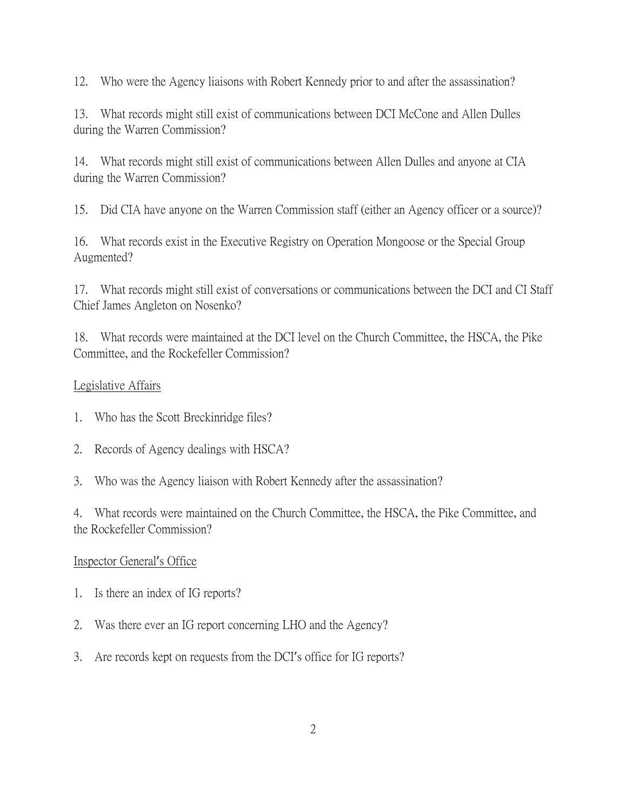12. Who were the Agency liaisons with Robert Kennedy prior to and after the assassination?

13. What records might still exist of communications between DCI McCone and Allen Dulles during the Warren Commission?

14. What records might still exist of communications between Allen Dulles and anyone at CIA during the Warren Commission?

15. Did CIA have anyone on the Warren Commission staff (either an Agency officer or a source)?

16. What records exist in the Executive Registry on Operation Mongoose or the Special Group Augmented?

17. What records might still exist of conversations or communications between the DCI and CI Staff Chief James Angleton on Nosenko?

18. What records were maintained at the DCI level on the Church Committee, the HSCA, the Pike Committee, and the Rockefeller Commission?

# Legislative Affairs

- 1. Who has the Scott Breckinridge files?
- 2. Records of Agency dealings with HSCA?
- 3. Who was the Agency liaison with Robert Kennedy after the assassination?

4. What records were maintained on the Church Committee, the HSCA, the Pike Committee, and the Rockefeller Commission?

#### Inspector General's Office

- 1. Is there an index of IG reports?
- 2. Was there ever an IG report concerning LHO and the Agency?
- 3. Are records kept on requests from the DCI's office for IG reports?